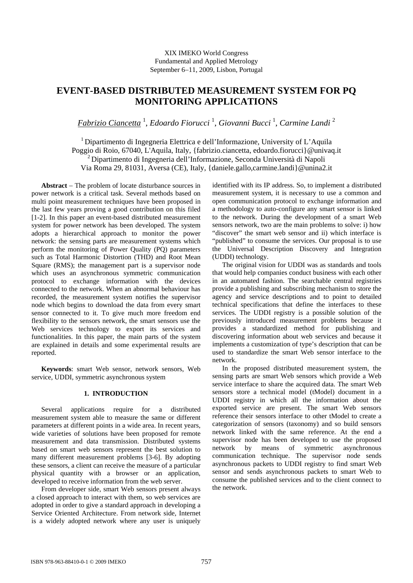# XIX IMEKO World Congress Fundamental and Applied Metrology September 6−11, 2009, Lisbon, Portugal

# **EVENT-BASED DISTRIBUTED MEASUREMENT SYSTEM FOR PQ MONITORING APPLICATIONS**

*Fabrizio Ciancetta* <sup>1</sup> , *Edoardo Fiorucci* <sup>1</sup> , *Giovanni Bucci* <sup>1</sup> , *Carmine Landi* <sup>2</sup>

1 Dipartimento di Ingegneria Elettrica e dell'Informazione, University of L'Aquila Poggio di Roio, 67040, L'Aquila, Italy, {fabrizio.ciancetta, edoardo.fiorucci}@univaq.it 2 Dipartimento di Ingegneria dell'Informazione, Seconda Università di Napoli Via Roma 29, 81031, Aversa (CE), Italy, {daniele.gallo,carmine.landi}@unina2.it

**Abstract** − The problem of locate disturbance sources in power network is a critical task. Several methods based on multi point measurement techniques have been proposed in the last few years proving a good contribution on this filed [1-2]. In this paper an event-based distributed measurement system for power network has been developed. The system adopts a hierarchical approach to monitor the power network: the sensing parts are measurement systems which perform the monitoring of Power Quality (PQ) parameters such as Total Harmonic Distortion (THD) and Root Mean Square (RMS); the management part is a supervisor node which uses an asynchronous symmetric communication protocol to exchange information with the devices connected to the network. When an abnormal behaviour has recorded, the measurement system notifies the supervisor node which begins to download the data from every smart sensor connected to it. To give much more freedom end flexibility to the sensors network, the smart sensors use the Web services technology to export its services and functionalities. In this paper, the main parts of the system are explained in details and some experimental results are reported.

**Keywords**: smart Web sensor, network sensors, Web service, UDDI, symmetric asynchronous system

# **1. INTRODUCTION**

Several applications require for a distributed measurement system able to measure the same or different parameters at different points in a wide area. In recent years, wide varieties of solutions have been proposed for remote measurement and data transmission. Distributed systems based on smart web sensors represent the best solution to many different measurement problems [3-6]. By adopting these sensors, a client can receive the measure of a particular physical quantity with a browser or an application, developed to receive information from the web server.

From developer side, smart Web sensors present always a closed approach to interact with them, so web services are adopted in order to give a standard approach in developing a Service Oriented Architecture. From network side, Internet is a widely adopted network where any user is uniquely

identified with its IP address. So, to implement a distributed measurement system, it is necessary to use a common and open communication protocol to exchange information and a methodology to auto-configure any smart sensor is linked to the network. During the development of a smart Web sensors network, two are the main problems to solve: i) how "discover" the smart web sensor and ii) which interface is "published" to consume the services. Our proposal is to use the Universal Description Discovery and Integration (UDDI) technology.

The original vision for UDDI was as standards and tools that would help companies conduct business with each other in an automated fashion. The searchable central registries provide a publishing and subscribing mechanism to store the agency and service descriptions and to point to detailed technical specifications that define the interfaces to these services. The UDDI registry is a possible solution of the previously introduced measurement problems because it provides a standardized method for publishing and discovering information about web services and because it implements a customization of type's description that can be used to standardize the smart Web sensor interface to the network.

In the proposed distributed measurement system, the sensing parts are smart Web sensors which provide a Web service interface to share the acquired data. The smart Web sensors store a technical model (tModel) document in a UDDI registry in which all the information about the exported service are present. The smart Web sensors reference their sensors interface to other tModel to create a categorization of sensors (taxonomy) and so build sensors network linked with the same reference. At the end a supervisor node has been developed to use the proposed network by means of symmetric asynchronous communication technique. The supervisor node sends asynchronous packets to UDDI registry to find smart Web sensor and sends asynchronous packets to smart Web to consume the published services and to the client connect to the network.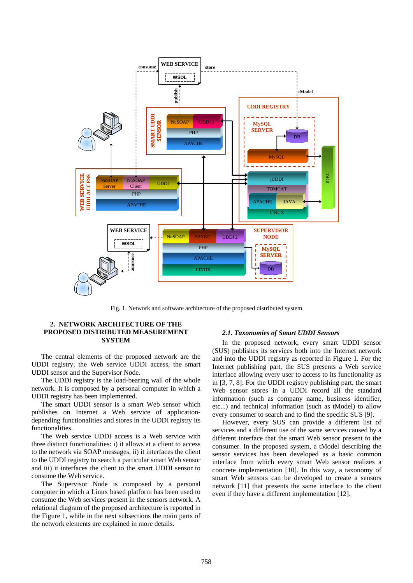

Fig. 1. Network and software architecture of the proposed distributed system

# **2. NETWORK ARCHITECTURE OF THE PROPOSED DISTRIBUTED MEASUREMENT SYSTEM**

The central elements of the proposed network are the UDDI registry, the Web service UDDI access, the smart UDDI sensor and the Supervisor Node.

The UDDI registry is the load-bearing wall of the whole network. It is composed by a personal computer in which a UDDI registry has been implemented.

The smart UDDI sensor is a smart Web sensor which publishes on Internet a Web service of applicationdepending functionalities and stores in the UDDI registry its functionalities.

The Web service UDDI access is a Web service with three distinct functionalities: i) it allows at a client to access to the network via SOAP messages, ii) it interfaces the client to the UDDI registry to search a particular smart Web sensor and iii) it interfaces the client to the smart UDDI sensor to consume the Web service.

The Supervisor Node is composed by a personal computer in which a Linux based platform has been used to consume the Web services present in the sensors network. A relational diagram of the proposed architecture is reported in the Figure 1, while in the next subsections the main parts of the network elements are explained in more details.

#### *2.1. Taxonomies of Smart UDDI Sensors*

In the proposed network, every smart UDDI sensor (SUS) publishes its services both into the Internet network and into the UDDI registry as reported in Figure 1. For the Internet publishing part, the SUS presents a Web service interface allowing every user to access to its functionality as in [3, 7, 8]. For the UDDI registry publishing part, the smart Web sensor stores in a UDDI record all the standard information (such as company name, business identifier, etc...) and technical information (such as tModel) to allow every consumer to search and to find the specific SUS [9].

However, every SUS can provide a different list of services and a different use of the same services caused by a different interface that the smart Web sensor present to the consumer. In the proposed system, a tModel describing the sensor services has been developed as a basic common interface from which every smart Web sensor realizes a concrete implementation [10]. In this way, a taxonomy of smart Web sensors can be developed to create a sensors network [11] that presents the same interface to the client even if they have a different implementation [12].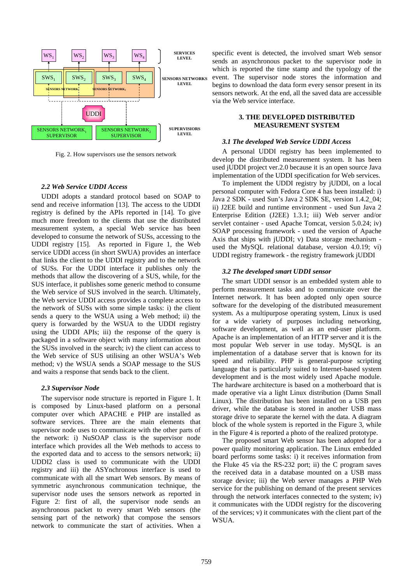

Fig. 2. How supervisors use the sensors network

# *2.2 Web Service UDDI Access*

UDDI adopts a standard protocol based on SOAP to send and receive information [13]. The access to the UDDI registry is defined by the APIs reported in [14]. To give much more freedom to the clients that use the distributed measurement system, a special Web service has been developed to consume the network of SUSs, accessing to the UDDI registry [15]. As reported in Figure 1, the Web service UDDI access (in short SWUA) provides an interface that links the client to the UDDI registry and to the network of SUSs. For the UDDI interface it publishes only the methods that allow the discovering of a SUS, while, for the SUS interface, it publishes some generic method to consume the Web service of SUS involved in the search. Ultimately, the Web service UDDI access provides a complete access to the network of SUSs with some simple tasks: i) the client sends a query to the WSUA using a Web method; ii) the query is forwarded by the WSUA to the UDDI registry using the UDDI APIs; iii) the response of the query is packaged in a software object with many information about the SUSs involved in the search; iv) the client can access to the Web service of SUS utilising an other WSUA's Web method; v) the WSUA sends a SOAP message to the SUS and waits a response that sends back to the client.

#### *2.3 Supervisor Node*

The supervisor node structure is reported in Figure 1. It is composed by Linux-based platform on a personal computer over which APACHE e PHP are installed as software services. Three are the main elements that supervisor node uses to communicate with the other parts of the network: i) NuSOAP class is the supervisor node interface which provides all the Web methods to access to the exported data and to access to the sensors network; ii) UDDI2 class is used to communicate with the UDDI registry and iii) the ASYnchronous interface is used to communicate with all the smart Web sensors. By means of symmetric asynchronous communication technique, the supervisor node uses the sensors network as reported in Figure 2: first of all, the supervisor node sends an asynchronous packet to every smart Web sensors (the sensing part of the network) that compose the sensors network to communicate the start of activities. When a

specific event is detected, the involved smart Web sensor sends an asynchronous packet to the supervisor node in which is reported the time stamp and the typology of the event. The supervisor node stores the information and begins to download the data form every sensor present in its sensors network. At the end, all the saved data are accessible via the Web service interface.

# **3. THE DEVELOPED DISTRIBUTED MEASUREMENT SYSTEM**

## *3.1 The developed Web Service UDDI Access*

A personal UDDI registry has been implemented to develop the distributed measurement system. It has been used jUDDI project ver.2.0 because it is an open source Java implementation of the UDDI specification for Web services.

To implement the UDDI registry by jUDDI, on a local personal computer with Fedora Core 4 has been installed: i) Java 2 SDK - used Sun's Java 2 SDK SE, version 1.4.2\_04; ii) J2EE build and runtime environment - used Sun Java 2 Enterprise Edition (J2EE) 1.3.1; iii) Web server and/or servlet container - used Apache Tomcat, version 5.0.24; iv) SOAP processing framework - used the version of Apache Axis that ships with jUDDI; v) Data storage mechanism used the MySQL relational database, version 4.0.19; vi) UDDI registry framework - the registry framework jUDDI

# *3.2 The developed smart UDDI sensor*

The smart UDDI sensor is an embedded system able to perform measurement tasks and to communicate over the Internet network. It has been adopted only open source software for the developing of the distributed measurement system. As a multipurpose operating system, Linux is used for a wide variety of purposes including networking, software development, as well as an end-user platform. Apache is an implementation of an HTTP server and it is the most popular Web server in use today. MySQL is an implementation of a database server that is known for its speed and reliability. PHP is general-purpose scripting language that is particularly suited to Internet-based system development and is the most widely used Apache module. The hardware architecture is based on a motherboard that is made operative via a light Linux distribution (Damn Small Linux). The distribution has been installed on a USB pen driver, while the database is stored in another USB mass storage drive to separate the kernel with the data. A diagram block of the whole system is reported in the Figure 3, while in the Figure 4 is reported a photo of the realized prototype.

The proposed smart Web sensor has been adopted for a power quality monitoring application. The Linux embedded board performs some tasks: i) it receives information from the Fluke 45 via the RS-232 port; ii) the C program saves the received data in a database mounted on a USB mass storage device; iii) the Web server manages a PHP Web service for the publishing on demand of the present services through the network interfaces connected to the system; iv) it communicates with the UDDI registry for the discovering of the services; v) it communicates with the client part of the WSUA.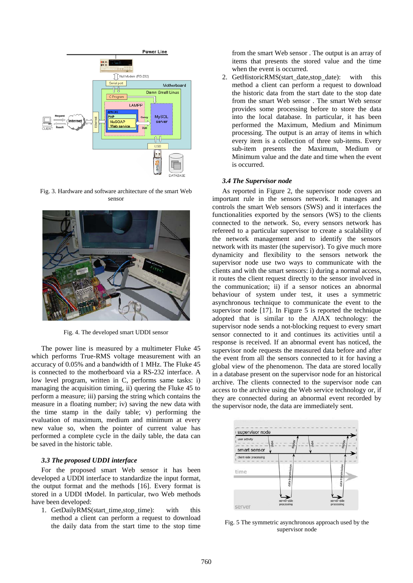

Fig. 3. Hardware and software architecture of the smart Web sensor



Fig. 4. The developed smart UDDI sensor

The power line is measured by a multimeter Fluke 45 which performs True-RMS voltage measurement with an accuracy of 0.05% and a bandwidth of 1 MHz. The Fluke 45 is connected to the motherboard via a RS-232 interface. A low level program, written in C, performs same tasks: i) managing the acquisition timing, ii) quering the Fluke 45 to perform a measure; iii) parsing the string which contains the measure in a floating number; iv) saving the new data with the time stamp in the daily table; v) performing the evaluation of maximum, medium and minimum at every new value so, when the pointer of current value has performed a complete cycle in the daily table, the data can be saved in the historic table.

# *3.3 The proposed UDDI interface*

For the proposed smart Web sensor it has been developed a UDDI interface to standardize the input format, the output format and the methods [16]. Every format is stored in a UDDI tModel. In particular, two Web methods have been developed:

1. GetDailyRMS(start\_time,stop\_time): with this method a client can perform a request to download the daily data from the start time to the stop time

from the smart Web sensor . The output is an array of items that presents the stored value and the time when the event is occurred.

2. GetHistoricRMS(start\_date,stop\_date): with this method a client can perform a request to download the historic data from the start date to the stop date from the smart Web sensor . The smart Web sensor provides some processing before to store the data into the local database. In particular, it has been performed the Maximum, Medium and Minimum processing. The output is an array of items in which every item is a collection of three sub-items. Every sub-item presents the Maximum, Medium or Minimum value and the date and time when the event is occurred.

#### *3.4 The Supervisor node*

As reported in Figure 2, the supervisor node covers an important rule in the sensors network. It manages and controls the smart Web sensors (SWS) and it interfaces the functionalities exported by the sensors (WS) to the clients connected to the network. So, every sensors network has refereed to a particular supervisor to create a scalability of the network management and to identify the sensors network with its master (the supervisor). To give much more dynamicity and flexibility to the sensors network the supervisor node use two ways to communicate with the clients and with the smart sensors: i) during a normal access, it routes the client request directly to the sensor involved in the communication; ii) if a sensor notices an abnormal behaviour of system under test, it uses a symmetric asynchronous technique to communicate the event to the supervisor node [17]. In Figure 5 is reported the technique adopted that is similar to the AJAX technology: the supervisor node sends a not-blocking request to every smart sensor connected to it and continues its activities until a response is received. If an abnormal event has noticed, the supervisor node requests the measured data before and after the event from all the sensors connected to it for having a global view of the phenomenon. The data are stored locally in a database present on the supervisor node for an historical archive. The clients connected to the supervisor node can access to the archive using the Web service technology or, if they are connected during an abnormal event recorded by the supervisor node, the data are immediately sent.



Fig. 5 The symmetric asynchronous approach used by the supervisor node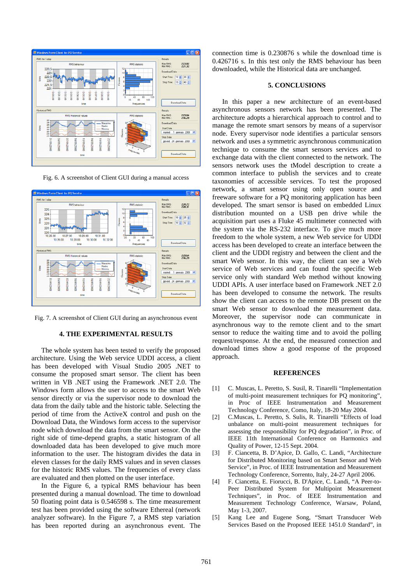

Fig. 6. A screenshot of Client GUI during a manual access



Fig. 7. A screenshot of Client GUI during an asynchronous event

### **4. THE EXPERIMENTAL RESULTS**

The whole system has been tested to verify the proposed architecture. Using the Web service UDDI access, a client has been developed with Visual Studio 2005 .NET to consume the proposed smart sensor. The client has been written in VB .NET using the Framework .NET 2.0. The Windows form allows the user to access to the smart Web sensor directly or via the supervisor node to download the data from the daily table and the historic table. Selecting the period of time from the ActiveX control and push on the Download Data, the Windows form access to the supervisor node which download the data from the smart sensor. On the right side of time-depend graphs, a static histogram of all downloaded data has been developed to give much more information to the user. The histogram divides the data in eleven classes for the daily RMS values and in seven classes for the historic RMS values. The frequencies of every class are evaluated and then plotted on the user interface.

In the Figure 6, a typical RMS behaviour has been presented during a manual download. The time to download 50 floating point data is 0.546598 s. The time measurement test has been provided using the software Ethereal (network analyzer software). In the Figure 7, a RMS step variation has been reported during an asynchronous event. The connection time is 0.230876 s while the download time is 0.426716 s. In this test only the RMS behaviour has been downloaded, while the Historical data are unchanged.

### **5. CONCLUSIONS**

In this paper a new architecture of an event-based asynchronous sensors network has been presented. The architecture adopts a hierarchical approach to control and to manage the remote smart sensors by means of a supervisor node. Every supervisor node identifies a particular sensors network and uses a symmetric asynchronous communication technique to consume the smart sensors services and to exchange data with the client connected to the network. The sensors network uses the tModel description to create a common interface to publish the services and to create taxonomies of accessible services. To test the proposed network, a smart sensor using only open source and freeware software for a PQ monitoring application has been developed. The smart sensor is based on embedded Linux distribution mounted on a USB pen drive while the acquisition part uses a Fluke 45 multimeter connected with the system via the RS-232 interface. To give much more freedom to the whole system, a new Web service for UDDI access has been developed to create an interface between the client and the UDDI registry and between the client and the smart Web sensor. In this way, the client can see a Web service of Web services and can found the specific Web service only with standard Web method without knowing UDDI APIs. A user interface based on Framework .NET 2.0 has been developed to consume the network. The results show the client can access to the remote DB present on the smart Web sensor to download the measurement data. Moreover, the supervisor node can communicate in asynchronous way to the remote client and to the smart sensor to reduce the waiting time and to avoid the polling request/response. At the end, the measured connection and download times show a good response of the proposed approach.

#### **REFERENCES**

- [1] C. Muscas, L. Peretto, S. Susil, R. Tinarelli "Implementation of multi-point measurement techniques for PQ monitoring", in Proc of IEEE Instrumentation and Measurement Technology Conference, Como, Italy, 18-20 May 2004.
- [2] C.Muscas, L. Peretto, S. Sulis, R. Tinarelli "Effects of load unbalance on multi-point measurement techniques for assessing the responsibility for PQ degradation", in Proc. of IEEE 11th International Conference on Harmonics and Quality of Power, 12-15 Sept. 2004.
- [3] F. Ciancetta, B. D'Apice, D. Gallo, C. Landi, "Architecture for Distributed Monitoring based on Smart Sensor and Web Service", in Proc. of IEEE Instrumentation and Measurement Technology Conference, Sorrento, Italy, 24-27 April 2006.
- [4] F. Ciancetta, E. Fiorucci, B. D'Apice, C. Landi, "A Peer-to-Peer Distributed System for Multipoint Measurement Techniques", in Proc. of IEEE Instrumentation and Measurement Technology Conference, Warsaw, Poland, May 1-3, 2007.
- [5] Kang Lee and Eugene Song, "Smart Transducer Web Services Based on the Proposed IEEE 1451.0 Standard", in